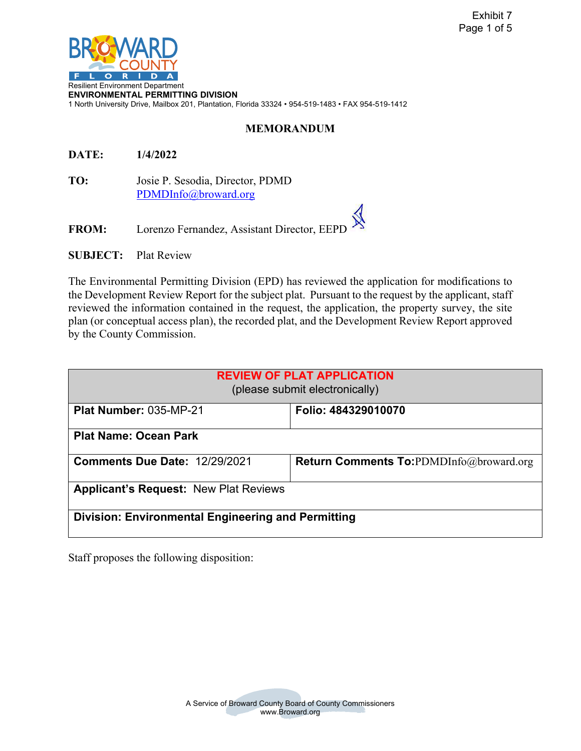

**ENVIRONMENTAL PERMITTING DIVISION**  1 North University Drive, Mailbox 201, Plantation, Florida 33324 • 954-519-1483 • FAX 954-519-1412

## **MEMORANDUM**

**DATE: 1/4/2022** 

 [PDMDInfo@broward.org](mailto:PDMDInfo@broward.org) **TO:** Josie P. Sesodia, Director, PDMD

FROM: Lorenzo Fernandez, Assistant Director, EEPI

**SUBJECT: Plat Review** 

The Environmental Permitting Division (EPD) has reviewed the application for modifications to the Development Review Report for the subject plat. Pursuant to the request by the applicant, staff reviewed the information contained in the request, the application, the property survey, the site plan (or conceptual access plan), the recorded plat, and the Development Review Report approved by the County Commission.

| <b>REVIEW OF PLAT APPLICATION</b><br>(please submit electronically) |                                                |  |  |
|---------------------------------------------------------------------|------------------------------------------------|--|--|
| Plat Number: 035-MP-21                                              | Folio: 484329010070                            |  |  |
| <b>Plat Name: Ocean Park</b>                                        |                                                |  |  |
| <b>Comments Due Date: 12/29/2021</b>                                | <b>Return Comments To:PDMDInfo@broward.org</b> |  |  |
| <b>Applicant's Request: New Plat Reviews</b>                        |                                                |  |  |
| <b>Division: Environmental Engineering and Permitting</b>           |                                                |  |  |

Staff proposes the following disposition: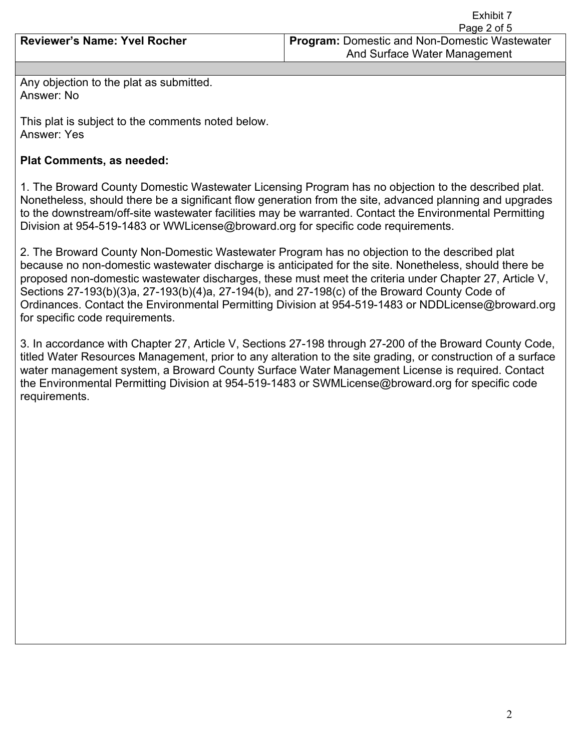|                                     | LAIDIU I                                             |
|-------------------------------------|------------------------------------------------------|
|                                     | Page 2 of 5                                          |
| <b>Reviewer's Name: Yvel Rocher</b> | <b>Program: Domestic and Non-Domestic Wastewater</b> |
|                                     | And Surface Water Management                         |
|                                     |                                                      |

Any objection to the plat as submitted. Answer: No

This plat is subject to the comments noted below. Answer: Yes

## **Plat Comments, as needed:**

1. The Broward County Domestic Wastewater Licensing Program has no objection to the described plat. Nonetheless, should there be a significant flow generation from the site, advanced planning and upgrades to the downstream/off-site wastewater facilities may be warranted. Contact the Environmental Permitting Division at 954-519-1483 or WWLicense@broward.org for specific code requirements.

2. The Broward County Non-Domestic Wastewater Program has no objection to the described plat because no non-domestic wastewater discharge is anticipated for the site. Nonetheless, should there be proposed non-domestic wastewater discharges, these must meet the criteria under Chapter 27, Article V, Sections 27-193(b)(3)a, 27-193(b)(4)a, 27-194(b), and 27-198(c) of the Broward County Code of Ordinances. Contact the Environmental Permitting Division at 954-519-1483 or NDDLicense@broward.org for specific code requirements.

3. In accordance with Chapter 27, Article V, Sections 27-198 through 27-200 of the Broward County Code, titled Water Resources Management, prior to any alteration to the site grading, or construction of a surface water management system, a Broward County Surface Water Management License is required. Contact the Environmental Permitting Division at 954-519-1483 or SWMLicense@broward.org for specific code requirements.

Exhibit 7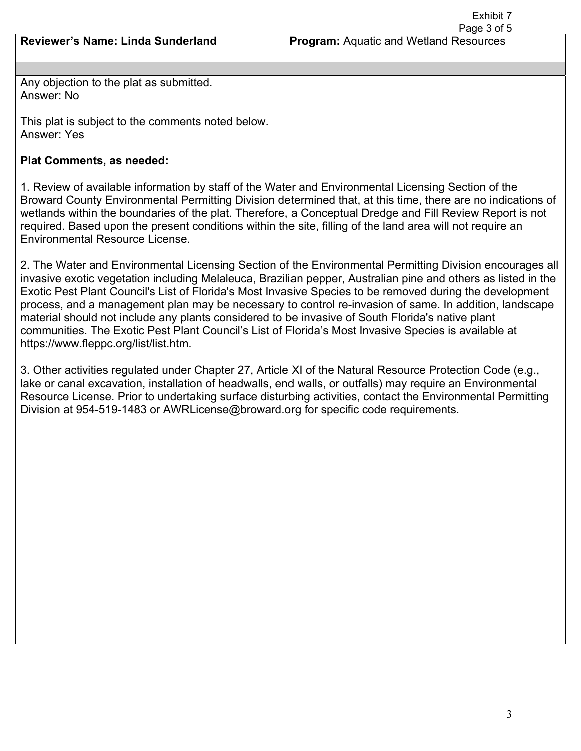Exhibit 7 Page 3 of 5

Any objection to the plat as submitted. Answer: No

This plat is subject to the comments noted below. Answer: Yes

## **Plat Comments, as needed:**

1. Review of available information by staff of the Water and Environmental Licensing Section of the Broward County Environmental Permitting Division determined that, at this time, there are no indications of wetlands within the boundaries of the plat. Therefore, a Conceptual Dredge and Fill Review Report is not required. Based upon the present conditions within the site, filling of the land area will not require an Environmental Resource License.

2. The Water and Environmental Licensing Section of the Environmental Permitting Division encourages all invasive exotic vegetation including Melaleuca, Brazilian pepper, Australian pine and others as listed in the Exotic Pest Plant Council's List of Florida's Most Invasive Species to be removed during the development process, and a management plan may be necessary to control re-invasion of same. In addition, landscape material should not include any plants considered to be invasive of South Florida's native plant communities. The Exotic Pest Plant Council's List of Florida's Most Invasive Species is available at https://www.fleppc.org/list/list.htm.

3. Other activities regulated under Chapter 27, Article XI of the Natural Resource Protection Code (e.g., lake or canal excavation, installation of headwalls, end walls, or outfalls) may require an Environmental Resource License. Prior to undertaking surface disturbing activities, contact the Environmental Permitting Division at 954-519-1483 or AWRLicense@broward.org for specific code requirements.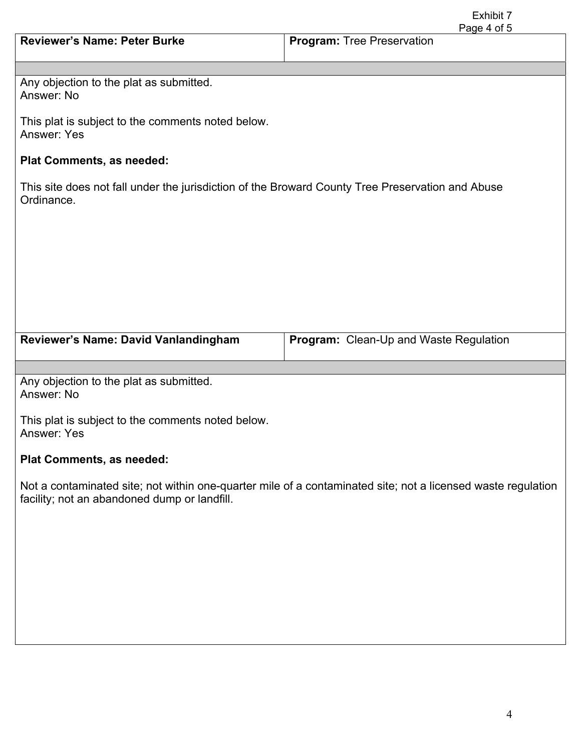|                                                                                                                                                              | Exhibit 7<br>Page 4 of 5                      |  |  |
|--------------------------------------------------------------------------------------------------------------------------------------------------------------|-----------------------------------------------|--|--|
| <b>Reviewer's Name: Peter Burke</b>                                                                                                                          | <b>Program: Tree Preservation</b>             |  |  |
|                                                                                                                                                              |                                               |  |  |
| Any objection to the plat as submitted.<br>Answer: No                                                                                                        |                                               |  |  |
| This plat is subject to the comments noted below.<br><b>Answer: Yes</b>                                                                                      |                                               |  |  |
| <b>Plat Comments, as needed:</b>                                                                                                                             |                                               |  |  |
| This site does not fall under the jurisdiction of the Broward County Tree Preservation and Abuse<br>Ordinance.                                               |                                               |  |  |
|                                                                                                                                                              |                                               |  |  |
|                                                                                                                                                              |                                               |  |  |
|                                                                                                                                                              |                                               |  |  |
|                                                                                                                                                              |                                               |  |  |
| Reviewer's Name: David Vanlandingham                                                                                                                         | <b>Program:</b> Clean-Up and Waste Regulation |  |  |
|                                                                                                                                                              |                                               |  |  |
| Any objection to the plat as submitted.<br>Answer: No                                                                                                        |                                               |  |  |
| This plat is subject to the comments noted below.<br><b>Answer: Yes</b>                                                                                      |                                               |  |  |
| Plat Comments, as needed:                                                                                                                                    |                                               |  |  |
| Not a contaminated site; not within one-quarter mile of a contaminated site; not a licensed waste regulation<br>facility; not an abandoned dump or landfill. |                                               |  |  |
|                                                                                                                                                              |                                               |  |  |
|                                                                                                                                                              |                                               |  |  |
|                                                                                                                                                              |                                               |  |  |